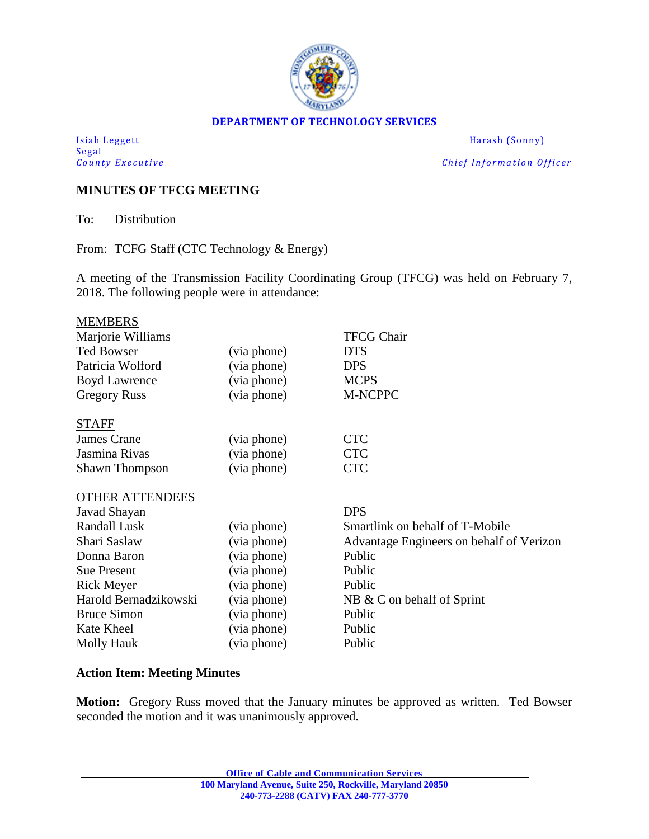

#### **DEPARTMENT OF TECHNOLOGY SERVICES**

Isiah Leggett Harash (Sonny) Segal<br>County Executive

*Chief Information Officer* 

### **MINUTES OF TFCG MEETING**

To: Distribution

From: TCFG Staff (CTC Technology & Energy)

A meeting of the Transmission Facility Coordinating Group (TFCG) was held on February 7, 2018. The following people were in attendance:

|             | <b>TFCG Chair</b>                        |
|-------------|------------------------------------------|
| (via phone) | <b>DTS</b>                               |
| (via phone) | <b>DPS</b>                               |
| (via phone) | <b>MCPS</b>                              |
| (via phone) | M-NCPPC                                  |
|             |                                          |
| (via phone) | <b>CTC</b>                               |
| (via phone) | <b>CTC</b>                               |
| (via phone) | <b>CTC</b>                               |
|             |                                          |
|             | <b>DPS</b>                               |
| (via phone) | Smartlink on behalf of T-Mobile          |
| (via phone) | Advantage Engineers on behalf of Verizon |
| (via phone) | Public                                   |
| (via phone) | Public                                   |
| (via phone) | Public                                   |
| (via phone) | NB & C on behalf of Sprint               |
| (via phone) | Public                                   |
| (via phone) | Public                                   |
| (via phone) | Public                                   |
|             |                                          |

# **Action Item: Meeting Minutes**

**Motion:** Gregory Russ moved that the January minutes be approved as written. Ted Bowser seconded the motion and it was unanimously approved.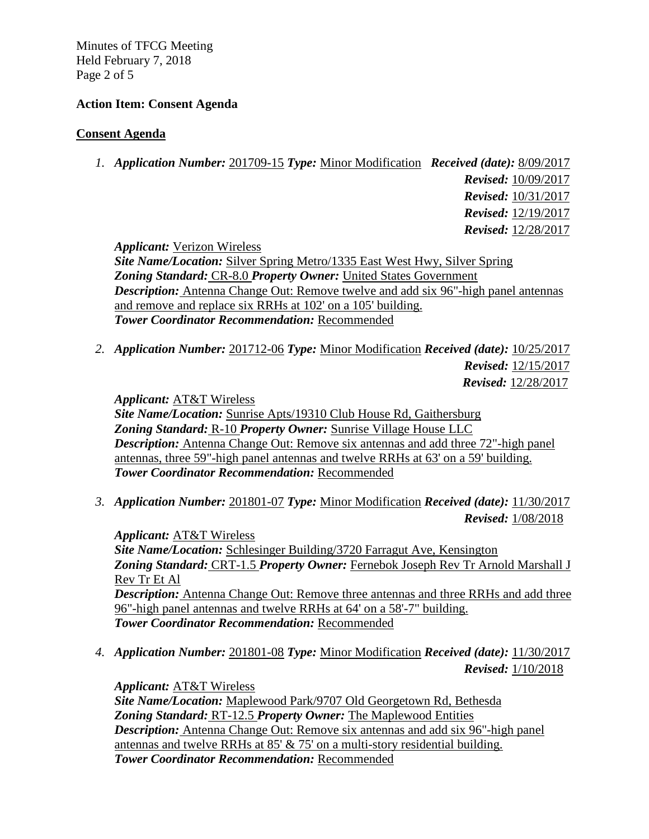Minutes of TFCG Meeting Held February 7, 2018 Page 2 of 5

#### **Action Item: Consent Agenda**

#### **Consent Agenda**

*1. Application Number:* 201709-15 *Type:* Minor Modification *Received (date):* 8/09/2017

 *Revised:* 10/09/2017  *Revised:* 10/31/2017  *Revised:* 12/19/2017 *Revised:* 12/28/2017

*Applicant:* Verizon Wireless

*Site Name/Location:* Silver Spring Metro/1335 East West Hwy, Silver Spring *Zoning Standard:* CR-8.0 *Property Owner:* United States Government *Description:* Antenna Change Out: Remove twelve and add six 96"-high panel antennas and remove and replace six RRHs at 102' on a 105' building. *Tower Coordinator Recommendation:* Recommended

*2. Application Number:* 201712-06 *Type:* Minor Modification *Received (date):* 10/25/2017 *Revised:* 12/15/2017

*Revised:* 12/28/2017

*Applicant:* AT&T Wireless

*Site Name/Location:* Sunrise Apts/19310 Club House Rd, Gaithersburg *Zoning Standard:* R-10 *Property Owner:* Sunrise Village House LLC *Description:* Antenna Change Out: Remove six antennas and add three 72"-high panel antennas, three 59"-high panel antennas and twelve RRHs at 63' on a 59' building. *Tower Coordinator Recommendation:* Recommended

*3. Application Number:* 201801-07 *Type:* Minor Modification *Received (date):* 11/30/2017 *Revised:* 1/08/2018

*Applicant:* AT&T Wireless *Site Name/Location:* Schlesinger Building/3720 Farragut Ave, Kensington *Zoning Standard:* CRT-1.5 *Property Owner:* Fernebok Joseph Rev Tr Arnold Marshall J Rev Tr Et Al *Description:* Antenna Change Out: Remove three antennas and three RRHs and add three 96"-high panel antennas and twelve RRHs at 64' on a 58'-7" building. *Tower Coordinator Recommendation:* Recommended

*4. Application Number:* 201801-08 *Type:* Minor Modification *Received (date):* 11/30/2017 *Revised:* 1/10/2018

*Applicant:* AT&T Wireless *Site Name/Location:* Maplewood Park/9707 Old Georgetown Rd, Bethesda *Zoning Standard:* RT-12.5 *Property Owner:* The Maplewood Entities *Description:* Antenna Change Out: Remove six antennas and add six 96"-high panel antennas and twelve RRHs at 85' & 75' on a multi-story residential building. *Tower Coordinator Recommendation:* Recommended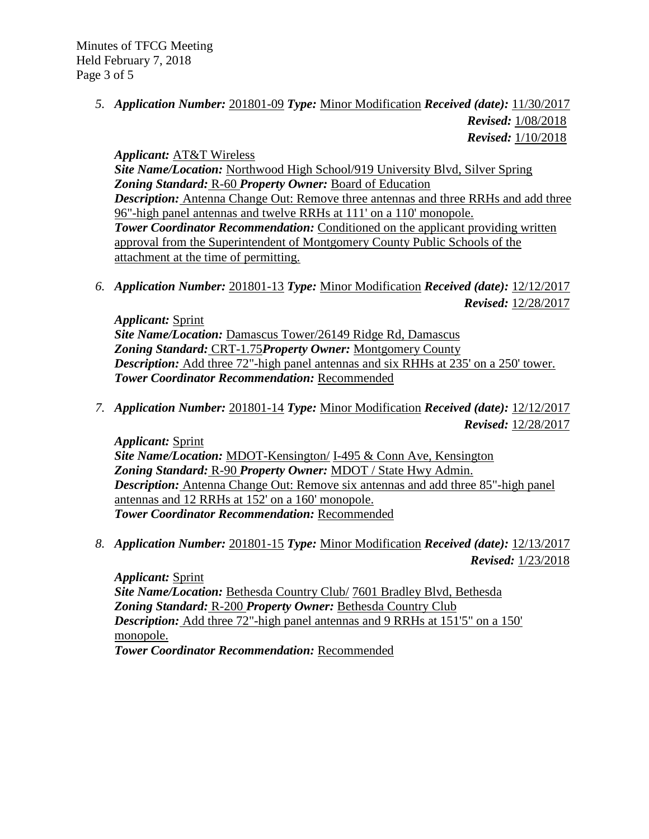Minutes of TFCG Meeting Held February 7, 2018 Page 3 of 5

> *5. Application Number:* 201801-09 *Type:* Minor Modification *Received (date):* 11/30/2017 *Revised:* 1/08/2018  *Revised:* 1/10/2018

*Applicant:* AT&T Wireless *Site Name/Location:* Northwood High School/919 University Blvd, Silver Spring *Zoning Standard:* R-60 *Property Owner:* Board of Education *Description:* Antenna Change Out: Remove three antennas and three RRHs and add three 96"-high panel antennas and twelve RRHs at 111' on a 110' monopole. **Tower Coordinator Recommendation:** Conditioned on the applicant providing written approval from the Superintendent of Montgomery County Public Schools of the attachment at the time of permitting.

*6. Application Number:* 201801-13 *Type:* Minor Modification *Received (date):* 12/12/2017 *Revised:* 12/28/2017

*Applicant:* Sprint *Site Name/Location:* Damascus Tower/26149 Ridge Rd, Damascus *Zoning Standard:* CRT-1.75*Property Owner:* Montgomery County *Description:* Add three 72"-high panel antennas and six RHHs at 235' on a 250' tower. *Tower Coordinator Recommendation:* Recommended

*7. Application Number:* 201801-14 *Type:* Minor Modification *Received (date):* 12/12/2017 *Revised:* 12/28/2017

*Applicant:* Sprint *Site Name/Location:* MDOT-Kensington/ I-495 & Conn Ave, Kensington *Zoning Standard:* R-90 *Property Owner:* MDOT / State Hwy Admin. *Description:* Antenna Change Out: Remove six antennas and add three 85"-high panel antennas and 12 RRHs at 152' on a 160' monopole. *Tower Coordinator Recommendation:* Recommended

*8. Application Number:* 201801-15 *Type:* Minor Modification *Received (date):* 12/13/2017 *Revised:* 1/23/2018

*Applicant:* Sprint *Site Name/Location:* Bethesda Country Club/ 7601 Bradley Blvd, Bethesda *Zoning Standard:* R-200 *Property Owner:* Bethesda Country Club *Description:* Add three 72"-high panel antennas and 9 RRHs at 151'5" on a 150' monopole. *Tower Coordinator Recommendation:* Recommended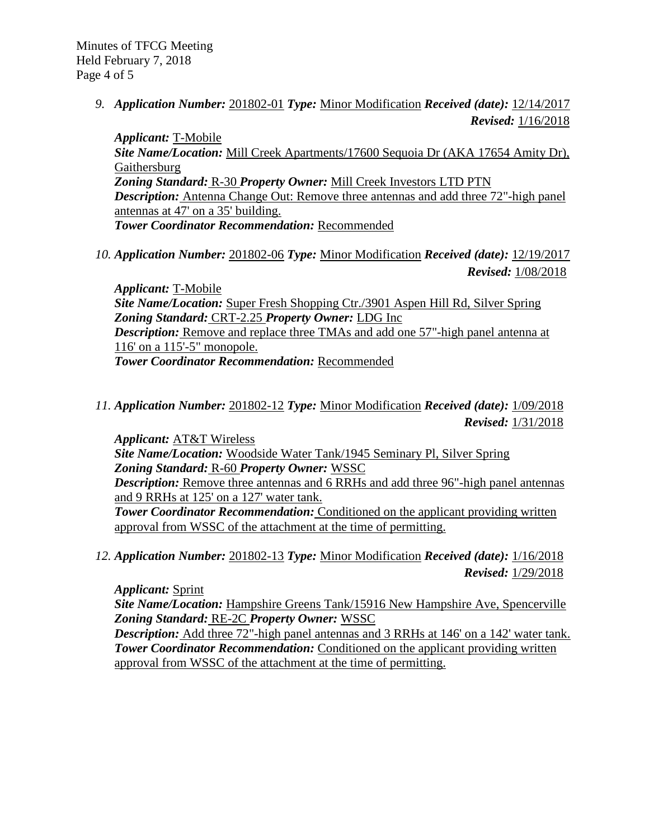Minutes of TFCG Meeting Held February 7, 2018 Page 4 of 5

> *9. Application Number:* 201802-01 *Type:* Minor Modification *Received (date):* 12/14/2017 *Revised:* 1/16/2018

*Applicant:* T-Mobile *Site Name/Location:* Mill Creek Apartments/17600 Sequoia Dr (AKA 17654 Amity Dr), Gaithersburg *Zoning Standard:* R-30 *Property Owner:* Mill Creek Investors LTD PTN *Description:* Antenna Change Out: Remove three antennas and add three 72"-high panel antennas at 47' on a 35' building. *Tower Coordinator Recommendation:* Recommended

*10. Application Number:* 201802-06 *Type:* Minor Modification *Received (date):* 12/19/2017 *Revised:* 1/08/2018

*Applicant:* T-Mobile *Site Name/Location:* Super Fresh Shopping Ctr./3901 Aspen Hill Rd, Silver Spring *Zoning Standard:* CRT-2.25 *Property Owner:* LDG Inc *Description:* Remove and replace three TMAs and add one 57"-high panel antenna at 116' on a 115'-5" monopole. *Tower Coordinator Recommendation:* Recommended

*11. Application Number:* 201802-12 *Type:* Minor Modification *Received (date):* 1/09/2018 *Revised:* 1/31/2018

*Applicant:* AT&T Wireless *Site Name/Location:* Woodside Water Tank/1945 Seminary Pl, Silver Spring *Zoning Standard:* R-60 *Property Owner:* WSSC *Description:* Remove three antennas and 6 RRHs and add three 96"-high panel antennas and 9 RRHs at 125' on a 127' water tank. **Tower Coordinator Recommendation:** Conditioned on the applicant providing written approval from WSSC of the attachment at the time of permitting.

*12. Application Number:* 201802-13 *Type:* Minor Modification *Received (date):* 1/16/2018 *Revised:* 1/29/2018

*Applicant:* Sprint

*Site Name/Location:* Hampshire Greens Tank/15916 New Hampshire Ave, Spencerville *Zoning Standard:* RE-2C *Property Owner:* WSSC

*Description:* Add three 72"-high panel antennas and 3 RRHs at 146' on a 142' water tank. **Tower Coordinator Recommendation:** Conditioned on the applicant providing written approval from WSSC of the attachment at the time of permitting.